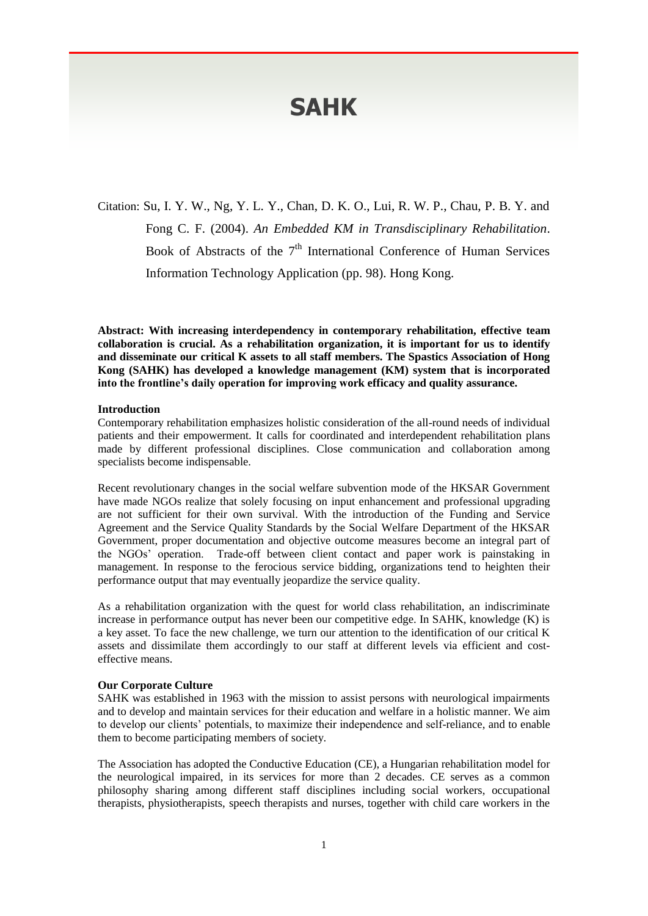# **SAHK**

Citation: Su, I. Y. W., Ng, Y. L. Y., Chan, D. K. O., Lui, R. W. P., Chau, P. B. Y. and Fong C. F. (2004). *An Embedded KM in Transdisciplinary Rehabilitation*. Book of Abstracts of the  $7<sup>th</sup>$  International Conference of Human Services Information Technology Application (pp. 98). Hong Kong.

**Abstract: With increasing interdependency in contemporary rehabilitation, effective team collaboration is crucial. As a rehabilitation organization, it is important for us to identify and disseminate our critical K assets to all staff members. The Spastics Association of Hong Kong (SAHK) has developed a knowledge management (KM) system that is incorporated into the frontline's daily operation for improving work efficacy and quality assurance.**

### **Introduction**

Contemporary rehabilitation emphasizes holistic consideration of the all-round needs of individual patients and their empowerment. It calls for coordinated and interdependent rehabilitation plans made by different professional disciplines. Close communication and collaboration among specialists become indispensable.

Recent revolutionary changes in the social welfare subvention mode of the HKSAR Government have made NGOs realize that solely focusing on input enhancement and professional upgrading are not sufficient for their own survival. With the introduction of the Funding and Service Agreement and the Service Quality Standards by the Social Welfare Department of the HKSAR Government, proper documentation and objective outcome measures become an integral part of the NGOs' operation. Trade-off between client contact and paper work is painstaking in management. In response to the ferocious service bidding, organizations tend to heighten their performance output that may eventually jeopardize the service quality.

As a rehabilitation organization with the quest for world class rehabilitation, an indiscriminate increase in performance output has never been our competitive edge. In SAHK, knowledge (K) is a key asset. To face the new challenge, we turn our attention to the identification of our critical K assets and dissimilate them accordingly to our staff at different levels via efficient and costeffective means.

#### **Our Corporate Culture**

SAHK was established in 1963 with the mission to assist persons with neurological impairments and to develop and maintain services for their education and welfare in a holistic manner. We aim to develop our clients' potentials, to maximize their independence and self-reliance, and to enable them to become participating members of society.

The Association has adopted the Conductive Education (CE), a Hungarian rehabilitation model for the neurological impaired, in its services for more than 2 decades. CE serves as a common philosophy sharing among different staff disciplines including social workers, occupational therapists, physiotherapists, speech therapists and nurses, together with child care workers in the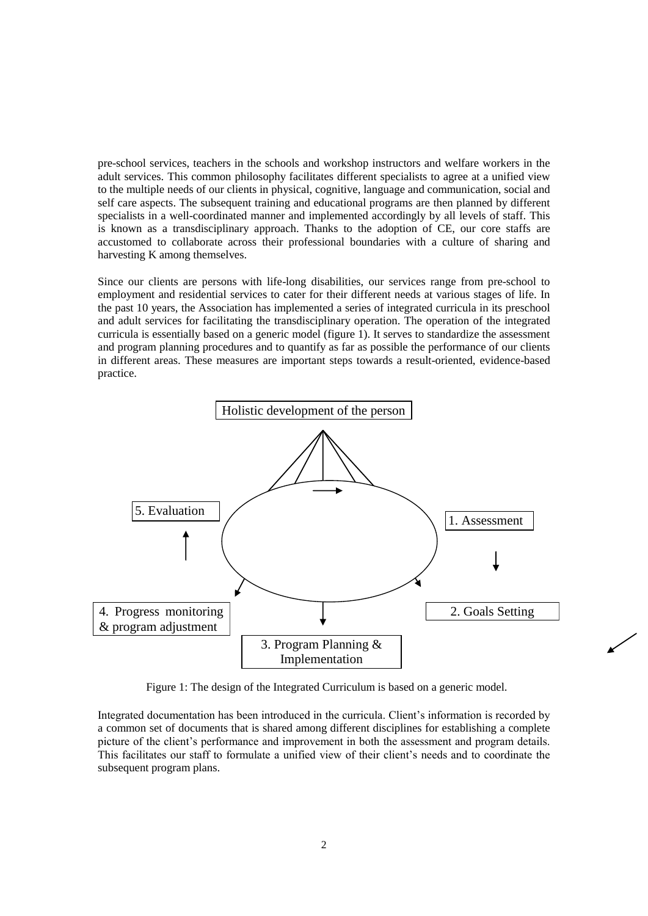pre-school services, teachers in the schools and workshop instructors and welfare workers in the adult services. This common philosophy facilitates different specialists to agree at a unified view to the multiple needs of our clients in physical, cognitive, language and communication, social and self care aspects. The subsequent training and educational programs are then planned by different specialists in a well-coordinated manner and implemented accordingly by all levels of staff. This is known as a transdisciplinary approach. Thanks to the adoption of CE, our core staffs are accustomed to collaborate across their professional boundaries with a culture of sharing and harvesting K among themselves.

Since our clients are persons with life-long disabilities, our services range from pre-school to employment and residential services to cater for their different needs at various stages of life. In the past 10 years, the Association has implemented a series of integrated curricula in its preschool and adult services for facilitating the transdisciplinary operation. The operation of the integrated curricula is essentially based on a generic model (figure 1). It serves to standardize the assessment and program planning procedures and to quantify as far as possible the performance of our clients in different areas. These measures are important steps towards a result-oriented, evidence-based practice.



Figure 1: The design of the Integrated Curriculum is based on a generic model.

Integrated documentation has been introduced in the curricula. Client's information is recorded by a common set of documents that is shared among different disciplines for establishing a complete picture of the client's performance and improvement in both the assessment and program details. This facilitates our staff to formulate a unified view of their client's needs and to coordinate the subsequent program plans.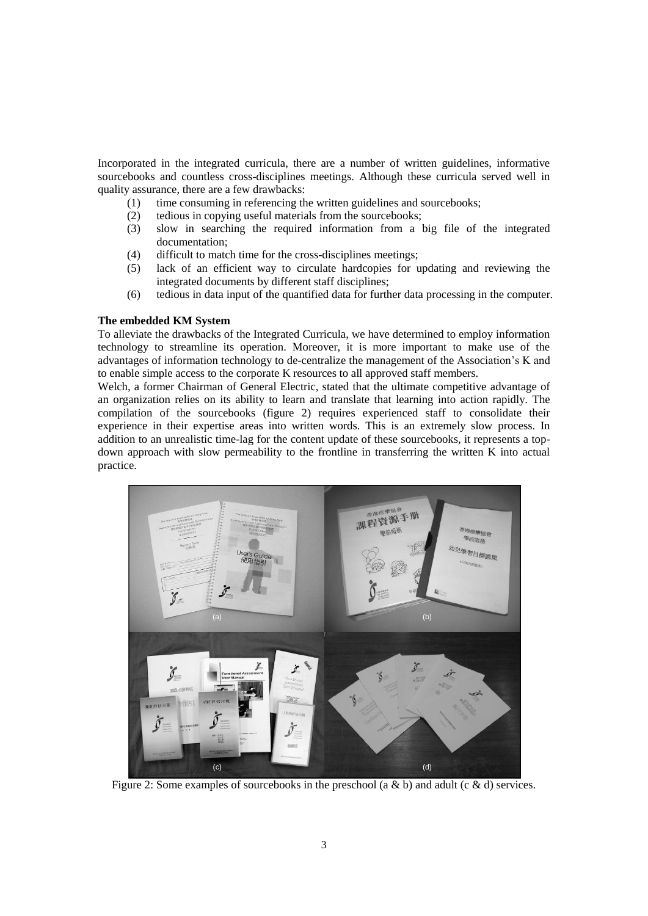Incorporated in the integrated curricula, there are a number of written guidelines, informative sourcebooks and countless cross-disciplines meetings. Although these curricula served well in quality assurance, there are a few drawbacks:

- (1) time consuming in referencing the written guidelines and sourcebooks;
- (2) tedious in copying useful materials from the sourcebooks;
- (3) slow in searching the required information from a big file of the integrated documentation;
- (4) difficult to match time for the cross-disciplines meetings;
- (5) lack of an efficient way to circulate hardcopies for updating and reviewing the integrated documents by different staff disciplines;
- (6) tedious in data input of the quantified data for further data processing in the computer.

#### **The embedded KM System**

To alleviate the drawbacks of the Integrated Curricula, we have determined to employ information technology to streamline its operation. Moreover, it is more important to make use of the advantages of information technology to de-centralize the management of the Association's K and to enable simple access to the corporate K resources to all approved staff members.

Welch, a former Chairman of General Electric, stated that the ultimate competitive advantage of an organization relies on its ability to learn and translate that learning into action rapidly. The compilation of the sourcebooks (figure 2) requires experienced staff to consolidate their experience in their expertise areas into written words. This is an extremely slow process. In addition to an unrealistic time-lag for the content update of these sourcebooks, it represents a topdown approach with slow permeability to the frontline in transferring the written K into actual practice.



Figure 2: Some examples of sourcebooks in the preschool (a & b) and adult (c & d) services.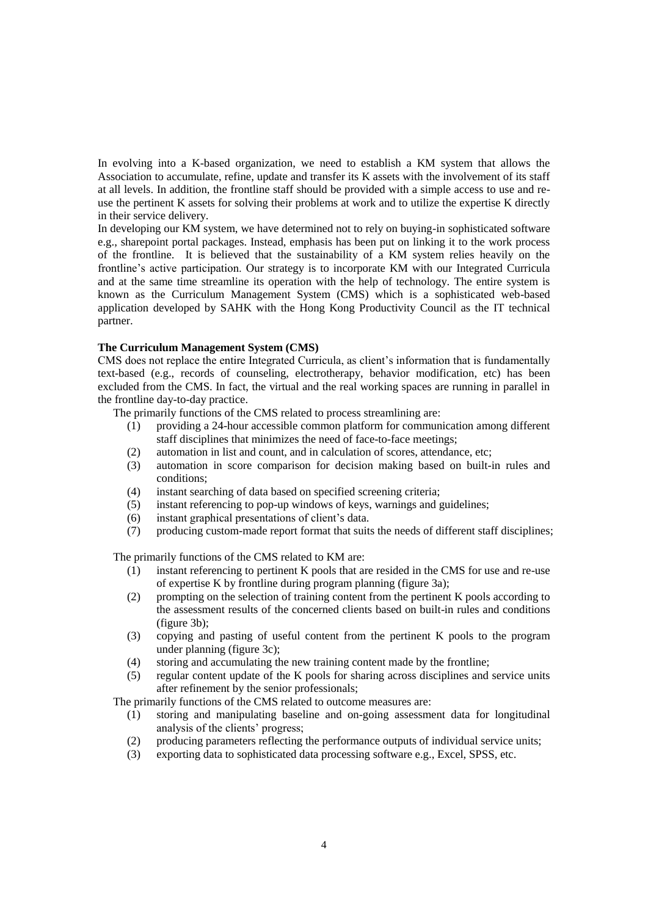In evolving into a K-based organization, we need to establish a KM system that allows the Association to accumulate, refine, update and transfer its K assets with the involvement of its staff at all levels. In addition, the frontline staff should be provided with a simple access to use and reuse the pertinent K assets for solving their problems at work and to utilize the expertise K directly in their service delivery.

In developing our KM system, we have determined not to rely on buying-in sophisticated software e.g., sharepoint portal packages. Instead, emphasis has been put on linking it to the work process of the frontline. It is believed that the sustainability of a KM system relies heavily on the frontline's active participation. Our strategy is to incorporate KM with our Integrated Curricula and at the same time streamline its operation with the help of technology. The entire system is known as the Curriculum Management System (CMS) which is a sophisticated web-based application developed by SAHK with the Hong Kong Productivity Council as the IT technical partner.

### **The Curriculum Management System (CMS)**

CMS does not replace the entire Integrated Curricula, as client's information that is fundamentally text-based (e.g., records of counseling, electrotherapy, behavior modification, etc) has been excluded from the CMS. In fact, the virtual and the real working spaces are running in parallel in the frontline day-to-day practice.

The primarily functions of the CMS related to process streamlining are:

- (1) providing a 24-hour accessible common platform for communication among different staff disciplines that minimizes the need of face-to-face meetings;
- (2) automation in list and count, and in calculation of scores, attendance, etc;
- (3) automation in score comparison for decision making based on built-in rules and conditions;
- (4) instant searching of data based on specified screening criteria;
- (5) instant referencing to pop-up windows of keys, warnings and guidelines;
- (6) instant graphical presentations of client's data.
- (7) producing custom-made report format that suits the needs of different staff disciplines;

The primarily functions of the CMS related to KM are:

- (1) instant referencing to pertinent K pools that are resided in the CMS for use and re-use of expertise K by frontline during program planning (figure 3a);
- (2) prompting on the selection of training content from the pertinent K pools according to the assessment results of the concerned clients based on built-in rules and conditions (figure 3b);
- (3) copying and pasting of useful content from the pertinent K pools to the program under planning (figure 3c);
- (4) storing and accumulating the new training content made by the frontline;
- (5) regular content update of the K pools for sharing across disciplines and service units after refinement by the senior professionals;

The primarily functions of the CMS related to outcome measures are:

- (1) storing and manipulating baseline and on-going assessment data for longitudinal analysis of the clients' progress;
- (2) producing parameters reflecting the performance outputs of individual service units;
- (3) exporting data to sophisticated data processing software e.g., Excel, SPSS, etc.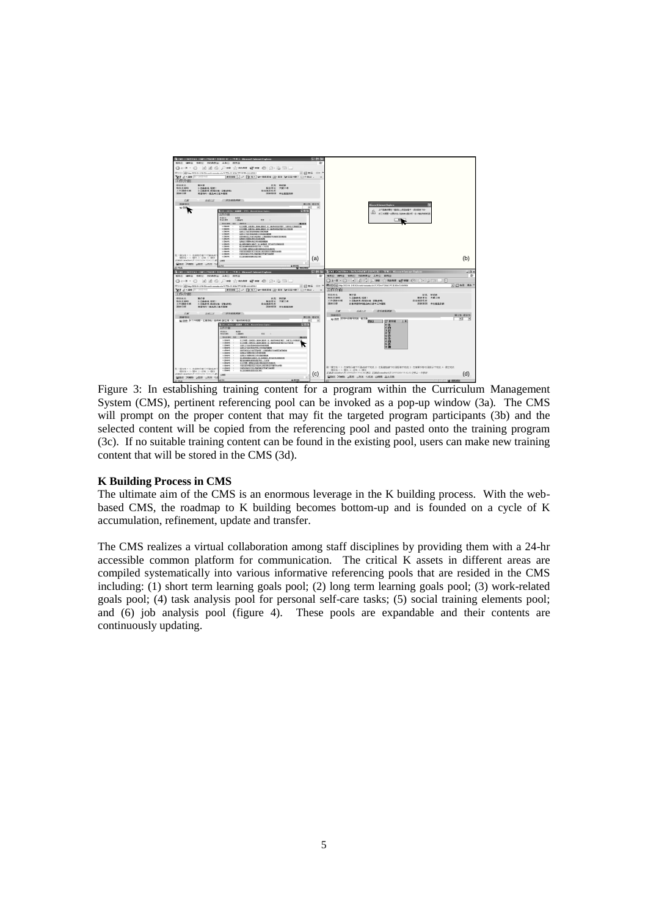

Figure 3: In establishing training content for a program within the Curriculum Management System (CMS), pertinent referencing pool can be invoked as a pop-up window (3a). The CMS will prompt on the proper content that may fit the targeted program participants (3b) and the selected content will be copied from the referencing pool and pasted onto the training program (3c). If no suitable training content can be found in the existing pool, users can make new training content that will be stored in the CMS (3d).

## **K Building Process in CMS**

The ultimate aim of the CMS is an enormous leverage in the K building process. With the webbased CMS, the roadmap to K building becomes bottom-up and is founded on a cycle of K accumulation, refinement, update and transfer.

The CMS realizes a virtual collaboration among staff disciplines by providing them with a 24-hr accessible common platform for communication. The critical K assets in different areas are compiled systematically into various informative referencing pools that are resided in the CMS including: (1) short term learning goals pool; (2) long term learning goals pool; (3) work-related goals pool; (4) task analysis pool for personal self-care tasks; (5) social training elements pool; and (6) job analysis pool (figure 4). These pools are expandable and their contents are continuously updating.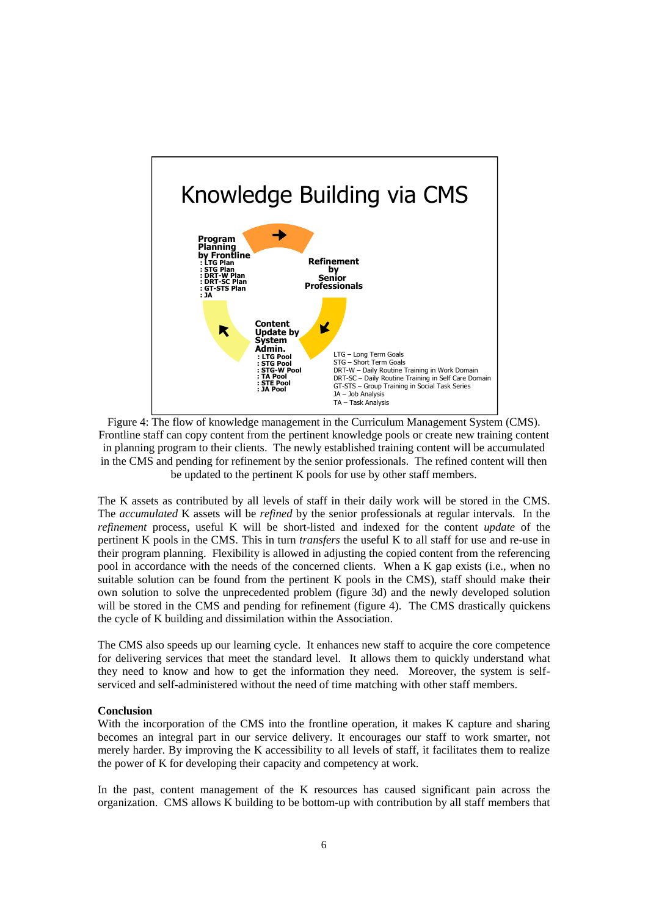

Figure 4: The flow of knowledge management in the Curriculum Management System (CMS). Frontline staff can copy content from the pertinent knowledge pools or create new training content in planning program to their clients. The newly established training content will be accumulated in the CMS and pending for refinement by the senior professionals. The refined content will then be updated to the pertinent K pools for use by other staff members.

The K assets as contributed by all levels of staff in their daily work will be stored in the CMS. The *accumulated* K assets will be *refined* by the senior professionals at regular intervals. In the *refinement* process, useful K will be short-listed and indexed for the content *update* of the pertinent K pools in the CMS. This in turn *transfers* the useful K to all staff for use and re-use in their program planning. Flexibility is allowed in adjusting the copied content from the referencing pool in accordance with the needs of the concerned clients. When a K gap exists (i.e., when no suitable solution can be found from the pertinent K pools in the CMS), staff should make their own solution to solve the unprecedented problem (figure 3d) and the newly developed solution will be stored in the CMS and pending for refinement (figure 4). The CMS drastically quickens the cycle of K building and dissimilation within the Association.

The CMS also speeds up our learning cycle. It enhances new staff to acquire the core competence for delivering services that meet the standard level. It allows them to quickly understand what they need to know and how to get the information they need. Moreover, the system is selfserviced and self-administered without the need of time matching with other staff members.

#### **Conclusion**

With the incorporation of the CMS into the frontline operation, it makes K capture and sharing becomes an integral part in our service delivery. It encourages our staff to work smarter, not merely harder. By improving the K accessibility to all levels of staff, it facilitates them to realize the power of K for developing their capacity and competency at work.

In the past, content management of the K resources has caused significant pain across the organization. CMS allows K building to be bottom-up with contribution by all staff members that